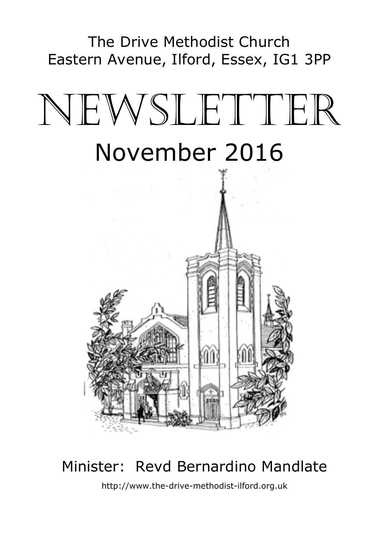The Drive Methodist Church Eastern Avenue, Ilford, Essex, IG1 3PP

# NEWSLETTER November 2016



# Minister: Revd Bernardino Mandlate

http://www.the-drive-methodist-ilford.org.uk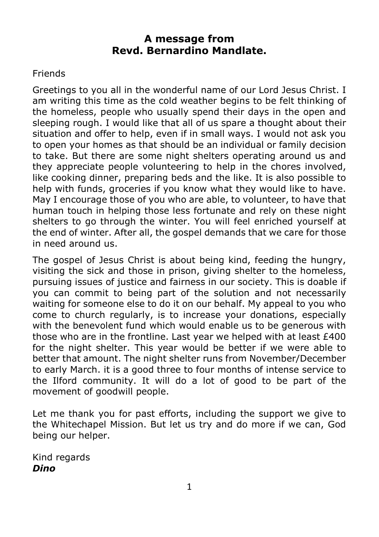#### **A message from Revd. Bernardino Mandlate.**

#### **Friends**

Greetings to you all in the wonderful name of our Lord Jesus Christ. I am writing this time as the cold weather begins to be felt thinking of the homeless, people who usually spend their days in the open and sleeping rough. I would like that all of us spare a thought about their situation and offer to help, even if in small ways. I would not ask you to open your homes as that should be an individual or family decision to take. But there are some night shelters operating around us and they appreciate people volunteering to help in the chores involved, like cooking dinner, preparing beds and the like. It is also possible to help with funds, groceries if you know what they would like to have. May I encourage those of you who are able, to volunteer, to have that human touch in helping those less fortunate and rely on these night shelters to go through the winter. You will feel enriched yourself at the end of winter. After all, the gospel demands that we care for those in need around us.

The gospel of Jesus Christ is about being kind, feeding the hungry, visiting the sick and those in prison, giving shelter to the homeless, pursuing issues of justice and fairness in our society. This is doable if you can commit to being part of the solution and not necessarily waiting for someone else to do it on our behalf. My appeal to you who come to church regularly, is to increase your donations, especially with the benevolent fund which would enable us to be generous with those who are in the frontline. Last year we helped with at least £400 for the night shelter. This year would be better if we were able to better that amount. The night shelter runs from November/December to early March. it is a good three to four months of intense service to the Ilford community. It will do a lot of good to be part of the movement of goodwill people.

Let me thank you for past efforts, including the support we give to the Whitechapel Mission. But let us try and do more if we can, God being our helper.

Kind regards *Dino*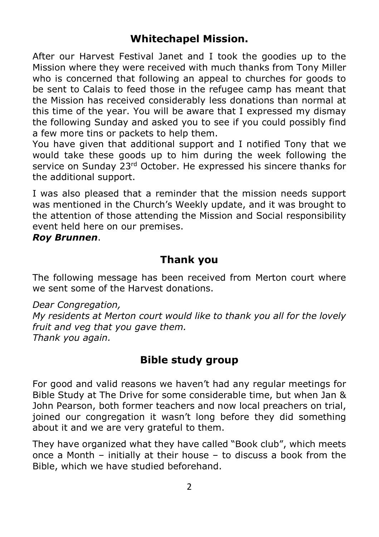## **Whitechapel Mission.**

After our Harvest Festival Janet and I took the goodies up to the Mission where they were received with much thanks from Tony Miller who is concerned that following an appeal to churches for goods to be sent to Calais to feed those in the refugee camp has meant that the Mission has received considerably less donations than normal at this time of the year. You will be aware that I expressed my dismay the following Sunday and asked you to see if you could possibly find a few more tins or packets to help them.

You have given that additional support and I notified Tony that we would take these goods up to him during the week following the service on Sunday 23<sup>rd</sup> October. He expressed his sincere thanks for the additional support.

I was also pleased that a reminder that the mission needs support was mentioned in the Church's Weekly update, and it was brought to the attention of those attending the Mission and Social responsibility event held here on our premises.

#### *Roy Brunnen*.

## **Thank you**

The following message has been received from Merton court where we sent some of the Harvest donations.

*Dear Congregation,* 

*My residents at Merton court would like to thank you all for the lovely fruit and veg that you gave them. Thank you again.*

## **Bible study group**

For good and valid reasons we haven't had any regular meetings for Bible Study at The Drive for some considerable time, but when Jan & John Pearson, both former teachers and now local preachers on trial, joined our congregation it wasn't long before they did something about it and we are very grateful to them.

They have organized what they have called "Book club", which meets once a Month – initially at their house – to discuss a book from the Bible, which we have studied beforehand.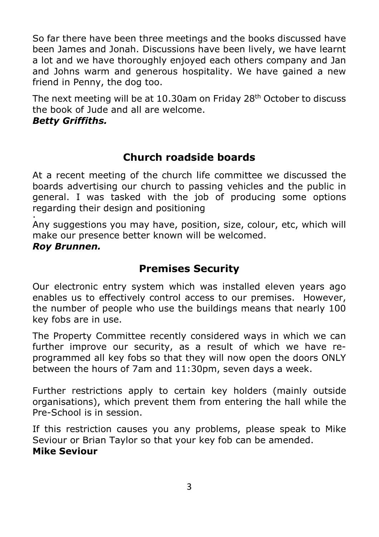So far there have been three meetings and the books discussed have been James and Jonah. Discussions have been lively, we have learnt a lot and we have thoroughly enjoyed each others company and Jan and Johns warm and generous hospitality. We have gained a new friend in Penny, the dog too.

The next meeting will be at 10.30am on Friday 28<sup>th</sup> October to discuss the book of Jude and all are welcome.

#### *Betty Griffiths.*

## **Church roadside boards**

At a recent meeting of the church life committee we discussed the boards advertising our church to passing vehicles and the public in general. I was tasked with the job of producing some options regarding their design and positioning .

Any suggestions you may have, position, size, colour, etc, which will make our presence better known will be welcomed. *Roy Brunnen.* 

## **Premises Security**

Our electronic entry system which was installed eleven years ago enables us to effectively control access to our premises. However, the number of people who use the buildings means that nearly 100 key fobs are in use.

The Property Committee recently considered ways in which we can further improve our security, as a result of which we have reprogrammed all key fobs so that they will now open the doors ONLY between the hours of 7am and 11:30pm, seven days a week.

Further restrictions apply to certain key holders (mainly outside organisations), which prevent them from entering the hall while the Pre-School is in session.

If this restriction causes you any problems, please speak to Mike Seviour or Brian Taylor so that your key fob can be amended. **Mike Seviour**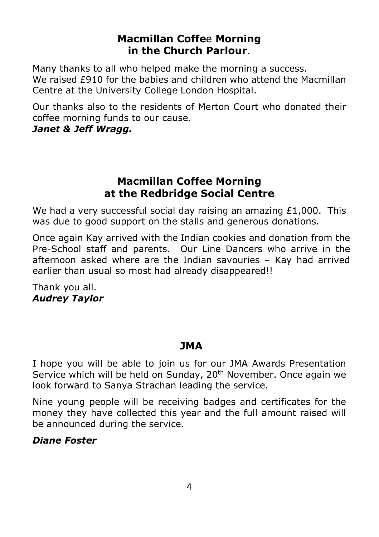#### **Macmillan Coffe**e **Morning in the Church Parlour**.

Many thanks to all who helped make the morning a success. We raised £910 for the babies and children who attend the Macmillan Centre at the University College London Hospital.

Our thanks also to the residents of Merton Court who donated their coffee morning funds to our cause.

#### *Janet & Jeff Wragg.*

#### **Macmillan Coffee Morning at the Redbridge Social Centre**

We had a very successful social day raising an amazing  $£1,000$ . This was due to good support on the stalls and generous donations.

Once again Kay arrived with the Indian cookies and donation from the Pre-School staff and parents. Our Line Dancers who arrive in the afternoon asked where are the Indian savouries – Kay had arrived earlier than usual so most had already disappeared!!

Thank you all. *Audrey Taylor* 

## **JMA**

I hope you will be able to join us for our JMA Awards Presentation Service which will be held on Sunday, 20<sup>th</sup> November. Once again we look forward to Sanya Strachan leading the service.

Nine young people will be receiving badges and certificates for the money they have collected this year and the full amount raised will be announced during the service.

#### *Diane Foster*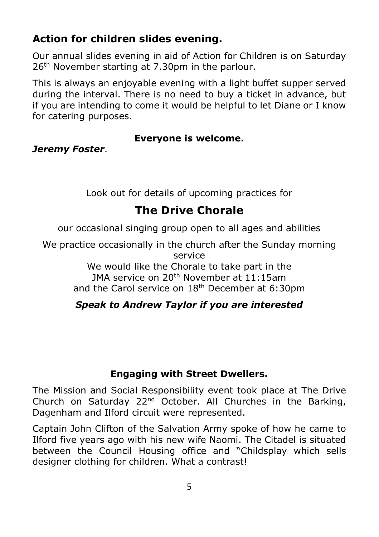## **Action for children slides evening.**

Our annual slides evening in aid of Action for Children is on Saturday 26<sup>th</sup> November starting at 7.30pm in the parlour.

This is always an enjoyable evening with a light buffet supper served during the interval. There is no need to buy a ticket in advance, but if you are intending to come it would be helpful to let Diane or I know for catering purposes.

#### **Everyone is welcome.**

*Jeremy Foster*.

Look out for details of upcoming practices for

## **The Drive Chorale**

our occasional singing group open to all ages and abilities

We practice occasionally in the church after the Sunday morning service

We would like the Chorale to take part in the JMA service on 20th November at 11:15am and the Carol service on 18<sup>th</sup> December at 6:30pm

## *Speak to Andrew Taylor if you are interested*

## **Engaging with Street Dwellers.**

The Mission and Social Responsibility event took place at The Drive Church on Saturday 22<sup>nd</sup> October. All Churches in the Barking, Dagenham and Ilford circuit were represented.

Captain John Clifton of the Salvation Army spoke of how he came to Ilford five years ago with his new wife Naomi. The Citadel is situated between the Council Housing office and "Childsplay which sells designer clothing for children. What a contrast!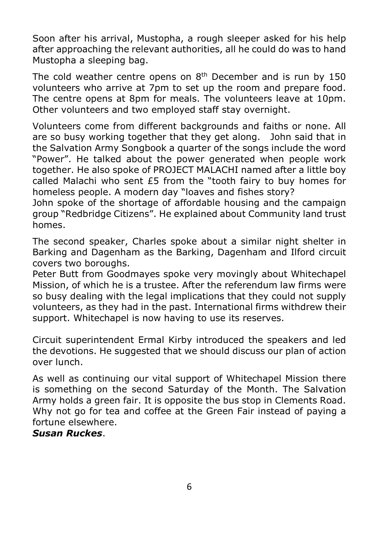Soon after his arrival, Mustopha, a rough sleeper asked for his help after approaching the relevant authorities, all he could do was to hand Mustopha a sleeping bag.

The cold weather centre opens on  $8<sup>th</sup>$  December and is run by 150 volunteers who arrive at 7pm to set up the room and prepare food. The centre opens at 8pm for meals. The volunteers leave at 10pm. Other volunteers and two employed staff stay overnight.

Volunteers come from different backgrounds and faiths or none. All are so busy working together that they get along. John said that in the Salvation Army Songbook a quarter of the songs include the word "Power". He talked about the power generated when people work together. He also spoke of PROJECT MALACHI named after a little boy called Malachi who sent £5 from the "tooth fairy to buy homes for homeless people. A modern day "loaves and fishes story?

John spoke of the shortage of affordable housing and the campaign group "Redbridge Citizens". He explained about Community land trust homes.

The second speaker, Charles spoke about a similar night shelter in Barking and Dagenham as the Barking, Dagenham and Ilford circuit covers two boroughs.

Peter Butt from Goodmayes spoke very movingly about Whitechapel Mission, of which he is a trustee. After the referendum law firms were so busy dealing with the legal implications that they could not supply volunteers, as they had in the past. International firms withdrew their support. Whitechapel is now having to use its reserves.

Circuit superintendent Ermal Kirby introduced the speakers and led the devotions. He suggested that we should discuss our plan of action over lunch.

As well as continuing our vital support of Whitechapel Mission there is something on the second Saturday of the Month. The Salvation Army holds a green fair. It is opposite the bus stop in Clements Road. Why not go for tea and coffee at the Green Fair instead of paying a fortune elsewhere.

#### *Susan Ruckes*.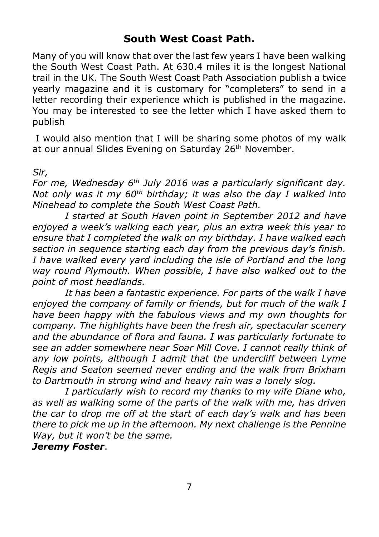## **South West Coast Path.**

Many of you will know that over the last few years I have been walking the South West Coast Path. At 630.4 miles it is the longest National trail in the UK. The South West Coast Path Association publish a twice yearly magazine and it is customary for "completers" to send in a letter recording their experience which is published in the magazine. You may be interested to see the letter which I have asked them to publish

 I would also mention that I will be sharing some photos of my walk at our annual Slides Evening on Saturday 26<sup>th</sup> November.

#### *Sir,*

*For me, Wednesday 6th July 2016 was a particularly significant day. Not only was it my 60th birthday; it was also the day I walked into Minehead to complete the South West Coast Path.* 

*I started at South Haven point in September 2012 and have enjoyed a week's walking each year, plus an extra week this year to ensure that I completed the walk on my birthday. I have walked each section in sequence starting each day from the previous day's finish. I have walked every yard including the isle of Portland and the long way round Plymouth. When possible, I have also walked out to the point of most headlands.* 

*It has been a fantastic experience. For parts of the walk I have enjoyed the company of family or friends, but for much of the walk I have been happy with the fabulous views and my own thoughts for company. The highlights have been the fresh air, spectacular scenery and the abundance of flora and fauna. I was particularly fortunate to see an adder somewhere near Soar Mill Cove. I cannot really think of any low points, although I admit that the undercliff between Lyme Regis and Seaton seemed never ending and the walk from Brixham to Dartmouth in strong wind and heavy rain was a lonely slog.* 

*I particularly wish to record my thanks to my wife Diane who, as well as walking some of the parts of the walk with me, has driven the car to drop me off at the start of each day's walk and has been there to pick me up in the afternoon. My next challenge is the Pennine Way, but it won't be the same.*

#### *Jeremy Foster*.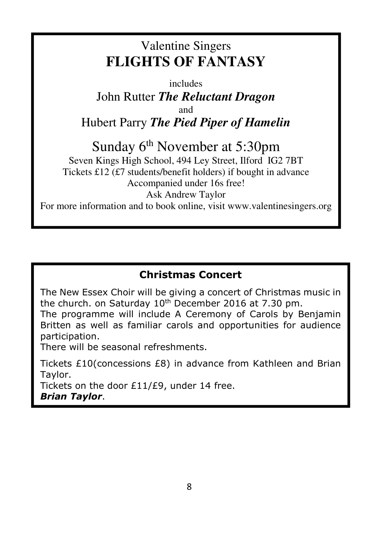# Valentine Singers **FLIGHTS OF FANTASY**

includes John Rutter *The Reluctant Dragon* and Hubert Parry *The Pied Piper of Hamelin* 

Sunday 6<sup>th</sup> November at 5:30pm Seven Kings High School, 494 Ley Street, Ilford IG2 7BT Tickets £12 (£7 students/benefit holders) if bought in advance Accompanied under 16s free! Ask Andrew Taylor

For more information and to book online, visit www.valentinesingers.org

## **Christmas Concert**

The New Essex Choir will be giving a concert of Christmas music in the church. on Saturday  $10<sup>th</sup>$  December 2016 at 7.30 pm.

The programme will include A Ceremony of Carols by Benjamin Britten as well as familiar carols and opportunities for audience participation.

There will be seasonal refreshments.

Tickets £10(concessions £8) in advance from Kathleen and Brian Taylor.

Tickets on the door £11/£9, under 14 free. *Brian Taylor*.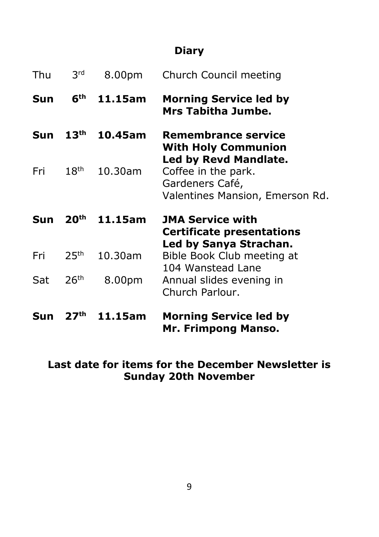## **Diary**

| Thu | 3 <sup>rd</sup>  | 8.00pm  | Church Council meeting                                                                   |
|-----|------------------|---------|------------------------------------------------------------------------------------------|
| Sun | 6 <sup>th</sup>  | 11.15am | <b>Morning Service led by</b><br>Mrs Tabitha Jumbe.                                      |
| Sun | 13 <sup>th</sup> | 10.45am | <b>Remembrance service</b><br><b>With Holy Communion</b><br><b>Led by Revd Mandlate.</b> |
| Fri | 18 <sup>th</sup> | 10.30am | Coffee in the park.<br>Gardeners Café,<br>Valentines Mansion, Emerson Rd.                |
| Sun | 20 <sup>th</sup> | 11.15am | <b>JMA Service with</b><br><b>Certificate presentations</b><br>Led by Sanya Strachan.    |
| Fri | 25 <sup>th</sup> | 10.30am | Bible Book Club meeting at<br>104 Wanstead Lane                                          |
| Sat | 26 <sup>th</sup> | 8.00pm  | Annual slides evening in<br>Church Parlour.                                              |
| Sun |                  |         | <b>Morning Service led by</b>                                                            |

## **Last date for items for the December Newsletter is Sunday 20th November**